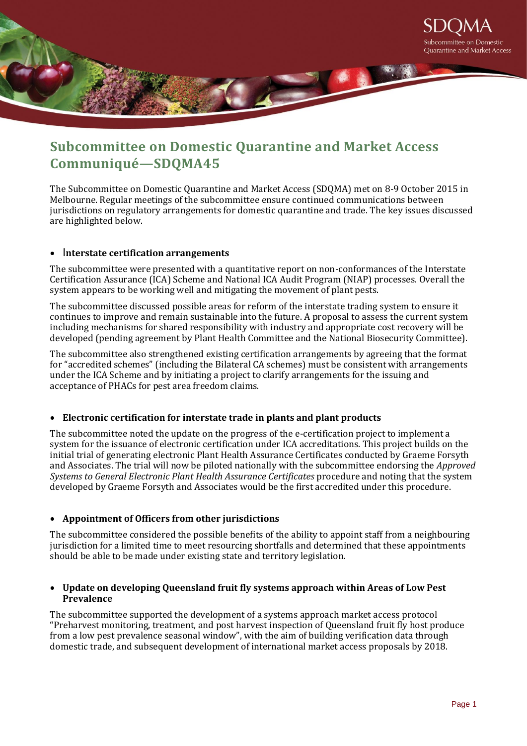

# **Subcommittee on Domestic Quarantine and Market Access Communiqué—SDQMA45**

The Subcommittee on Domestic Quarantine and Market Access (SDQMA) met on 8-9 October 2015 in Melbourne. Regular meetings of the subcommittee ensure continued communications between jurisdictions on regulatory arrangements for domestic quarantine and trade. The key issues discussed are highlighted below.

## I**nterstate certification arrangements**

The subcommittee were presented with a quantitative report on non-conformances of the Interstate Certification Assurance (ICA) Scheme and National ICA Audit Program (NIAP) processes. Overall the system appears to be working well and mitigating the movement of plant pests.

The subcommittee discussed possible areas for reform of the interstate trading system to ensure it continues to improve and remain sustainable into the future. A proposal to assess the current system including mechanisms for shared responsibility with industry and appropriate cost recovery will be developed (pending agreement by Plant Health Committee and the National Biosecurity Committee).

The subcommittee also strengthened existing certification arrangements by agreeing that the format for "accredited schemes" (including the Bilateral CA schemes) must be consistent with arrangements under the ICA Scheme and by initiating a project to clarify arrangements for the issuing and acceptance of PHACs for pest area freedom claims.

#### **Electronic certification for interstate trade in plants and plant products**

The subcommittee noted the update on the progress of the e-certification project to implement a system for the issuance of electronic certification under ICA accreditations. This project builds on the initial trial of generating electronic Plant Health Assurance Certificates conducted by Graeme Forsyth and Associates. The trial will now be piloted nationally with the subcommittee endorsing the *Approved Systems to General Electronic Plant Health Assurance Certificates* procedure and noting that the system developed by Graeme Forsyth and Associates would be the first accredited under this procedure.

## **Appointment of Officers from other jurisdictions**

The subcommittee considered the possible benefits of the ability to appoint staff from a neighbouring jurisdiction for a limited time to meet resourcing shortfalls and determined that these appointments should be able to be made under existing state and territory legislation.

#### **Update on developing Queensland fruit fly systems approach within Areas of Low Pest Prevalence**

The subcommittee supported the development of a systems approach market access protocol "Preharvest monitoring, treatment, and post harvest inspection of Queensland fruit fly host produce from a low pest prevalence seasonal window", with the aim of building verification data through domestic trade, and subsequent development of international market access proposals by 2018.